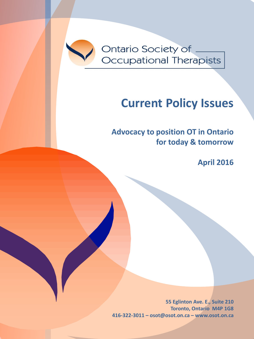

Ontario Society of \_ Occupational Therapists

# **Current Policy Issues**

**Advocacy to position OT in Ontario for today & tomorrow**

**April 2016**

**55 Eglinton Ave. E., Suite 210 Toronto, Ontario M4P 1G8 416-322-3011 – osot@osot.on.ca – www.osot.on.ca**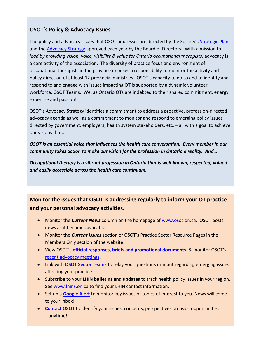# **OSOT's Policy & Advocacy Issues**

The policy and advocacy issues that OSOT addresses are directed by the Society's [Strategic Plan](http://www.osot.on.ca/imis15/OSOT/About/Strategic_Plan/OSOT/About_Pages/Strategic_Plan.aspx?hkey=eaef7838-9bf5-4757-a25f-c91fdad7c81b) and the [Advocacy Strategy](https://www.osot.on.ca/imis15/CMDownload.aspx?ContentKey=659f6e12-e0c2-4000-8e72-bca7bb9ec0bb&ContentItemKey=027bfacc-929d-4775-9a0e-3a3e9fab6c04) approved each year by the Board of Directors. With a mission to lead by providing vision, voice, visibility & value for Ontario occupational therapists, advocacy is a core activity of the association. The diversity of practice focus and environment of occupational therapists in the province imposes a responsibility to monitor the activity and policy direction of at least 12 provincial ministries. OSOT's capacity to do so and to identify and respond to and engage with issues impacting OT is supported by a dynamic volunteer workforce, OSOT Teams. We, as Ontario OTs are indebted to their shared commitment, energy, expertise and passion!

OSOT's Advocacy Strategy identifies a commitment to address a proactive, profession-directed advocacy agenda as well as a commitment to monitor and respond to emerging policy issues directed by government, employers, health system stakeholders, etc. – all with a goal to achieve our visions that….

*OSOT is an essential voice that influences the health care conversation. Every member in our community takes action to make our vision for the profession in Ontario a reality. And…*

*Occupational therapy is a vibrant profession in Ontario that is well-known, respected, valued and easily accessible across the health care continuum.*

# **Monitor the issues that OSOT is addressing regularly to inform your OT practice and your personal advocacy activities.**

- Monitor the *Current News* column on the homepage of [www.osot.on.ca.](http://www.osot.on.ca/) OSOT posts news as it becomes available
- Monitor the *Current Issues* section of OSOT's Practice Sector Resource Pages in the Members Only section of the website.
- View OSOT's **[official responses, briefs and promotional documents](http://www.osot.on.ca/imis15/OSOT/Advocacy/Official_Documents/OSOT/Advocacy_Pages/Official_Documents_-_Position_Papers.aspx?hkey=17493cf7-0138-49cc-84fd-338dacd6107a)** & monitor OSOT's [recent advocacy meetings.](http://www.osot.on.ca/iMIS15/OSOT/Advocacy_Pages/OSOT_Advocacy_Meetings.aspx)
- Link with **[OSOT Sector Teams](http://www.osot.on.ca/imis15/OSOT/About/Teams___Representatives/OSOT/About_Pages/Committees_Teams.aspx?hkey=b67ce0f8-d3bd-4aa0-a353-3c1753f0aa38)** to relay your questions or input regarding emerging issues affecting your practice.
- Subscribe to your **LHIN bulletins and updates** to track health policy issues in your region. See [www.lhins.on.ca](http://www.lhins.on.ca/) to find your LHIN contact information.
- Set up a **[Google Alert](https://support.google.com/alerts/answer/4815696?hl=en)** to monitor key issues or topics of interest to you. News will come to your inbox!
- **[Contact OSOT](mailto:osot@osot.on.ca)** to identify your issues, concerns, perspectives on risks, opportunities …anytime!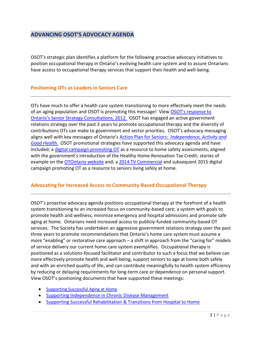# **ADVANCING OSOT'S ADVOCACY AGENDA**

OSOT's strategic plan identifies a platform for the following proactive advocacy initiatives to position occupational therapy in Ontario's evolving health care system and to assure Ontarians have access to occupational therapy services that support their health and well-being.

#### **Positioning OTs as Leaders in Seniors Care**

OTs have much to offer a health care system transitioning to more effectively meet the needs of an aging population and OSOT is promoting this message! View [OSOT's response to](https://www.osot.on.ca/imis15/CMDownload.aspx?ContentKey=c1f1f7ec-4183-4277-927b-6cf98b779645&ContentItemKey=91c15397-7cd7-46cd-92e4-4c44ae3f0360)  [Ontario's Senior Strategy Consultations, 2012.](https://www.osot.on.ca/imis15/CMDownload.aspx?ContentKey=c1f1f7ec-4183-4277-927b-6cf98b779645&ContentItemKey=91c15397-7cd7-46cd-92e4-4c44ae3f0360) OSOT has engaged an active government relations strategy over the past 3 years to promote occupational therapy and the diversity of contributions OTs can make to government and sector priorities. OSOT's advocacy messaging aligns well with key messages of Ontario's Action Plan for Seniors: *[Independence, Activity and](http://www.ontario.ca/seniors/ontarios-action-plan-seniors)  [Good Health.](http://www.ontario.ca/seniors/ontarios-action-plan-seniors)* OSOT promotional strategies have supported this advocacy agenda and have included; a [digital campaign promoting OT](http://tapology.ca/brand-strategy/ontario-society-of-occupational-therapists/) as a resource to home safety assessments, aligned with the government's introduction of the Healthy Home Renovation Tax Credit; stories of example on the [OTOntario website](http://www.otontario.ca/) and; a [2014 TV Commercial](http://otontario.ca/osot/tv) and subsequent 2015 digital campaign promoting OT as a resource to seniors living safely at home.

#### **Advocating for Increased Access to Community-Based Occupational Therapy**

OSOT's proactive advocacy agenda positions occupational therapy at the forefront of a health system transitioning to an increased focus on community-based care; a system with goals to promote health and wellness, minimize emergency and hospital admissions and promote safe aging at home. Ontarians need increased access to publicly-funded community-based OT services. The Society has undertaken an aggressive government relations strategy over the past three years to promote recommendations that Ontario's home care system must assume a more "enabling" or restorative care approach – a shift in approach from the "caring for" models of service delivery our current home care system exemplifies. Occupational therapy is positioned as a solutions-focused facilitator and contributor to such a focus that we believe can more effectively promote health and well-being, support seniors to age at home both safely and with an enriched quality of life, and can contribute meaningfully to health system efficiency by reducing or delaying requirements for long-term care or dependence on personal support. View OSOT's positioning documents that have supported these meetings:

- [Supporting Successful Aging at Home](https://www.osot.on.ca/imis15/CMDownload.aspx?ContentKey=bd7a8897-6810-4868-8ad5-ea57a77d6f04&ContentItemKey=fbd18c8f-6ad0-4e06-9834-9129745b70d0)
- [Supporting Independence in Chronic Disease Management](https://www.osot.on.ca/imis15/CMDownload.aspx?ContentKey=5688a59d-3de1-4c40-a391-096d90123174&ContentItemKey=e0006236-858d-4c5b-b8ce-59bfdf7b0e78)
- [Supporting Successful Rehabilitation & Transitions from Hospital to Home](https://www.osot.on.ca/imis15/CMDownload.aspx?ContentKey=a9a7c256-4df4-4a84-a346-398f4a2d43dd&ContentItemKey=03d14a51-afce-4792-828f-70ad2ce25d6d)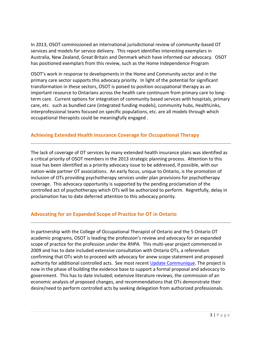In 2013, OSOT commissioned an international jurisdictional review of community-based OT services and models for service delivery. This report identifies interesting exemplars in Australia, New Zealand, Great Britain and Denmark which have informed our advocacy. OSOT has positioned exemplars from this review, such as the Home Independence Program

OSOT's work in response to developments in the Home and Community sector and in the primary care sector supports this advocacy priority. In light of the potential for significant transformation in these sectors, OSOT is poised to position occupational therapy as an important resource to Ontarians across the health care continuum from primary care to longterm care. Current options for integration of community based services with hospitals, primary care, etc. such as bundled care (integrated funding models), community hubs, HealthLinks, interprofessional teams focused on specific populations, etc. are all models through which occupational therapists could be meaningfully engaged .

# **Achieving Extended Health Insurance Coverage for Occupational Therapy**

The lack of coverage of OT services by many extended health insurance plans was identified as a critical priority of OSOT members in the 2013 strategic planning process. Attention to this issue has been identified as a priority advocacy issue to be addressed, if possible, with our nation-wide partner OT associations. An early focus, unique to Ontario, is the promotion of inclusion of OTs providing psychotherapy services under plan provisions for psychotherapy coverage. This advocacy opportunity is supported by the pending proclamation of the controlled act of psychotherapy which OTs will be authorized to perform. Regretfully, delay in proclamation has to date deferred attention to this advocacy priority.

# **Advocating for an Expanded Scope of Practice for OT in Ontario**

In partnership with the College of Occupational Therapist of Ontario and the 5 Ontario OT academic programs, OSOT is leading the profession's review and advocacy for an expanded scope of practice for the profession under the *RHPA.* This multi-year project commenced in 2009 and has to date included extensive consultation with Ontario OTs, a referendum confirming that OTs wish to proceed with advocacy for anew scope statement and proposed authority for additional controlled acts. See most recent [Update Communique.](http://www.osot.on.ca/imis15/CMDownload.aspx?ContentKey=320a478d-e417-4f00-b7ce-3905b702d88f&ContentItemKey=b78e65a4-b1b9-4f9a-b2b0-b6ab5ef4c503) The project is now in the phase of building the evidence base to support a formal proposal and advocacy to government. This has to date included; extensive literature reviews, the commission of an economic analysis of proposed changes, and recommendations that OTs demonstrate their desire/need to perform controlled acts by seeking delegation from authorized professionals.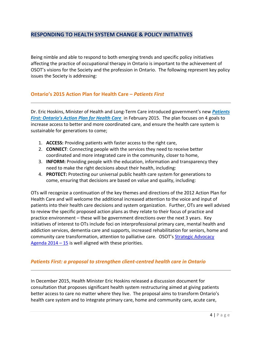# **RESPONDING TO HEALTH SYSTEM CHANGE & POLICY INITIATIVES**

Being nimble and able to respond to both emerging trends and specific policy initiatives affecting the practice of occupational therapy in Ontario is important to the achievement of OSOT's visions for the Society and the profession in Ontario. The following represent key policy issues the Society is addressing:

#### **Ontario's 2015 Action Plan for Health Care –** *Patients First*

Dr. Eric Hoskins, Minister of Health and Long-Term Care introduced government's new *[Patients](http://health.gov.on.ca/en/ms/ecfa/healthy_change/docs/rep_patientsfirst.pdf)  [First: Ontario's Action](http://health.gov.on.ca/en/ms/ecfa/healthy_change/docs/rep_patientsfirst.pdf) Plan for Health Care* in February 2015. The plan focuses on 4 goals to increase access to better and more coordinated care, and ensure the health care system is sustainable for generations to come;

- 1. **ACCESS:** Providing patients with faster access to the right care,
- 2. **CONNECT**: Connecting people with the services they need to receive better coordinated and more integrated care in the community, closer to home,
- 3. **INFORM:** Providing people with the education, information and transparency they need to make the right decisions about their health, including:
- 4. **PROTECT:** Protecting our universal public health care system for generations to come, ensuring that decisions are based on value and quality, including:

OTs will recognize a continuation of the key themes and directions of the 2012 Action Plan for Health Care and will welcome the additional increased attention to the voice and input of patients into their health care decisions and system organization. Further, OTs are well advised to review the specific proposed action plans as they relate to their focus of practice and practice environment – these will be government directions over the next 3 years. Key initiatives of interest to OTs include foci on interprofessional primary care, mental health and addiction services, dementia care and supports, increased rehabilitation for seniors, home and community care transformation, attention to palliative care. OSOT's [Strategic Advocacy](https://www.osot.on.ca/imis15/CMDownload.aspx?ContentKey=659f6e12-e0c2-4000-8e72-bca7bb9ec0bb&ContentItemKey=027bfacc-929d-4775-9a0e-3a3e9fab6c04)  Agenda  $2014 - 15$  is well aligned with these priorities.

#### *Patients First: a proposal to strengthen client-centred health care in Ontario*

In December 2015, Health Minister Eric Hoskins released a discussion document for consultation that proposes significant health system restructuring aimed at giving patients better access to care no matter where they live. The proposal aims to transform Ontario's health care system and to integrate primary care, home and community care, acute care,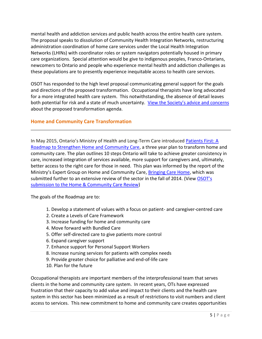mental health and addiction services and public health across the entire health care system. The proposal speaks to dissolution of Community Health Integration Networks, restructuring administration coordination of home care services under the Local Health Integration Networks (LHINs) with coordinator roles or system navigators potentially housed in primary care organizations. Special attention would be give to indigenous peoples, Franco-Ontarians, newcomers to Ontario and people who experience mental health and addiction challenges as these populations are to presently experience inequitable access to health care services.

OSOT has responded to the high level proposal communicating general support for the goals and directions of the proposed transformation. Occupational therapists have long advocated for a more integrated health care system. This notwithstanding, the absence of detail leaves both potential for risk and a state of much uncertainty. [View the Society's advice and concerns](http://www.osot.on.ca/imis15/CMDownload.aspx?ContentKey=4fa793af-6dda-445f-b105-c201e60f94b1&ContentItemKey=98a6fea6-6d73-4b47-96e1-29d96ce6b9a6) about the proposed transformation agenda.

### **Home and Community Care Transformation**

In May 2015, Ontario's Ministry of Health and Long-Term Care introduced [Patients First: A](http://health.gov.on.ca/en/public/programs/ccac/roadmap.pdf)  [Roadmap to Strengthen Home and Community Care,](http://health.gov.on.ca/en/public/programs/ccac/roadmap.pdf) a three year plan to transform home and community care. The plan outlines 10 steps Ontario will take to achieve greater consistency in care, increased integration of services available, more support for caregivers and, ultimately, better access to the right care for those in need. This plan was informed by the report of the Ministry's Expert Group on Home and Community Care, [Bringing Care Home,](http://health.gov.on.ca/en/public/programs/ccac/docs/hcc_report.pdf) which was submitted further to an extensive review of the sector in the fall of 2014. (View OSOT's [submission to the Home & Community Care Review\)](https://www.osot.on.ca/imis15/CMDownload.aspx?ContentKey=b392a6af-7145-4448-abd5-cc8271334176&ContentItemKey=6f9b30af-f135-4686-b024-953432086982)

The goals of the Roadmap are to:

- 1. Develop a statement of values with a focus on patient- and caregiver-centred care
- 2. Create a Levels of Care Framework
- 3. Increase funding for home and community care
- 4. Move forward with Bundled Care
- 5. Offer self-directed care to give patients more control
- 6. Expand caregiver support
- 7. Enhance support for Personal Support Workers
- 8. Increase nursing services for patients with complex needs
- 9. Provide greater choice for palliative and end-of-life care
- 10. Plan for the future

Occupational therapists are important members of the interprofessional team that serves clients in the home and community care system. In recent years, OTs have expressed frustration that their capacity to add value and impact to their clients and the health care system in this sector has been minimized as a result of restrictions to visit numbers and client access to services. This new commitment to home and community care creates opportunities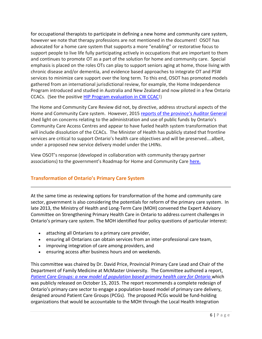for occupational therapists to participate in defining a new home and community care system, however we note that therapy professions are not mentioned in the document! OSOT has advocated for a home care system that supports a more "enabling" or restorative focus to support people to live life fully participating actively in occupations that are important to them and continues to promote OT as a part of the solution for home and community care. Special emphasis is placed on the roles OTs can play to support seniors aging at home, those living with chronic disease and/or dementia, and evidence based approaches to integrate OT and PSW services to minimize care support over the long term. To this end, OSOT has promoted models gathered from an international jurisdictional review, for example, the Home Independence Program introduced and studied in Australia and New Zealand and now piloted in a few Ontario CCACs. (See the positive [HIP Program evaluation in CW CCAC!](http://www.gtarehabnetwork.ca/uploads/File/bpd/2015/Presentations/RPP6_Home_Independence_Program_Karyn_Lumsden_Daniel_Ball.pdf))

The Home and Community Care Review did not, by directive, address structural aspects of the Home and Community Care system. However, 2015 [reports of the province's Auditor General](http://www.auditor.on.ca/en/reports_en/CCACs_en.pdf) shed light on concerns relating to the administration and use of public funds by Ontario's Community Care Access Centres and appear to have fueled health system transformation that will include dissolution of the CCACs. The Minister of Health has publicly stated that frontline services are critical to support Ontario's health care objectives and will be preserved….albeit, under a proposed new service delivery model under the LHINs.

View OSOT's response (developed in collaboration with community therapy partner associations) to the government's Roadmap for Home and Community Care [here.](http://www.osot.on.ca/iMIS15/OSOT/Advocacy_Pages/Official_Documents_of_2015_Members_Only.aspx)

# **Transformation of Ontario's Primary Care System**

At the same time as reviewing options for transformation of the home and community care sector, government is also considering the potentials for reform of the primary care system. In late 2013, the Ministry of Health and Long-Term Care (MOH) convened the Expert Advisory Committee on Strengthening Primary Health Care in Ontario to address current challenges in Ontario's primary care system. The MOH identified four policy questions of particular interest:

- attaching all Ontarians to a primary care provider,
- ensuring all Ontarians can obtain services from an inter-professional care team,
- improving integration of care among providers, and
- ensuring access after business hours and on weekends.

This committee was chaired by Dr. David Price, Provincial Primary Care Lead and Chair of the Department of Family Medicine at McMaster University. The Committee authored a report, *[Patient Care Groups: a new model of population based primary health care for Ontario](https://postmediawindsorstar2.files.wordpress.com/2015/10/primary_care_price_report.pdf)* which was publicly released on October 15, 2015. The report recommends a complete redesign of Ontario's primary care sector to engage a population-based model of primary care delivery, designed around Patient Care Groups (PCGs). The proposed PCGs would be fund-holding organizations that would be accountable to the MOH through the Local Health Integration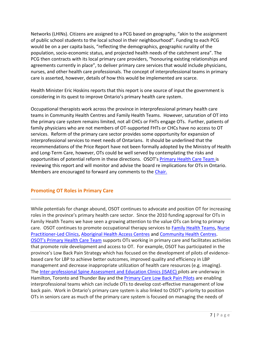Networks (LHINs). Citizens are assigned to a PCG based on geography, "akin to the assignment of public school students to the local school in their neighbourhood". Funding to each PCG would be on a per capita basis, "reflecting the demographics, geographic rurality of the population, socio-economic status, and projected health needs of the catchment area". The PCG then contracts with its local primary care providers, "honouring existing relationships and agreements currently in place", to deliver primary care services that would include physicians, nurses, and other health care professionals. The concept of interprofessional teams in primary care is asserted, however, details of how this would be implemented are scarce.

Health Minister Eric Hoskins reports that this report is one source of input the government is considering in its quest to improve Ontario's primary health care system.

Occupational therapists work across the province in interprofessional primary health care teams in Community Health Centres and Family Health Teams. However, saturation of OT into the primary care system remains limited, not all CHCs or FHTs engage OTs. Further, patients of family physicians who are not members of OT-supported FHTs or CHCs have no access to OT services. Reform of the primary care sector provides some opportunity for expansion of interprofessional services to meet needs of Ontarians. It should be underlined that the recommendations of the Price Report have not been formally adopted by the Ministry of Health and Long-Term Care, however, OTs could be well served by contemplating the risks and opportunities of potential reform in these directions. OSOT's [Primary Health Care Team i](http://www.osot.on.ca/imis15/OSOT/About/Teams___Representatives/OSOT/About_Pages/Committees_Teams.aspx?hkey=b67ce0f8-d3bd-4aa0-a353-3c1753f0aa38)s reviewing this report and will monitor and advise the board re implications for OTs in Ontario. Members are encouraged to forward any comments to the [Chair.](mailto:annemt@cogeco.ca)

# **Promoting OT Roles in Primary Care**

While potentials for change abound, OSOT continues to advocate and position OT for increasing roles in the province's primary health care sector. Since the 2010 funding approval for OTs in Family Health Teams we have seen a growing attention to the value OTs can bring to primary care. OSOT continues to promote occupational therapy services to [Family Health Teams,](http://www.health.gov.on.ca/en/pro/programs/fht/) Nurse [Practitioner-Led Clinics, Aboriginal Health Access Centres](http://www.health.gov.on.ca/en/common/system/services/npc/) an[d Community Health Centres.](http://www.health.gov.on.ca/en/common/system/services/chc/default.aspx) [OSOT's Primary Health Care Team](http://www.osot.on.ca/imis15/OSOT/About/Teams___Representatives/OSOT/About_Pages/Committees_Teams.aspx?hkey=b67ce0f8-d3bd-4aa0-a353-3c1753f0aa38) supports OTs working in primary care and facilitates activities that promote role development and access to OT. For example, OSOT has participated in the province's Low Back Pain Strategy which has focused on the development of pilots of evidencebased care for LBP to achieve better outcomes, improved quality and efficiency in LBP management and decrease inappropriate utilization of health care resources (e.g. imaging). The [Inter-professional Spine Assessment and Education Clinics \(ISAEC\) p](http://www.isaec.org/)ilots are underway in Hamilton, Toronto and Thunder Bay and the [Primary Care Low Back Pain Pilots](http://health.gov.on.ca/en/pro/programs/ecfa/action/primary/lb_primary.aspx#_ga=1.93731677.1934376032.1427729809) are enabling interprofessional teams which can include OTs to develop cost-effective management of low back pain. Work in Ontario's primary care system is also linked to OSOT's priority to position OTs in seniors care as much of the primary care system is focused on managing the needs of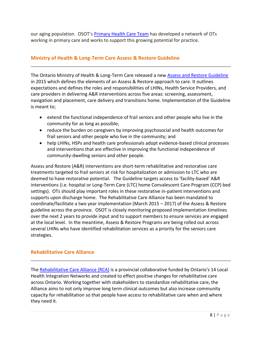our aging population. OSOT's [Primary Health Care Team](http://www.osot.on.ca/imis15/OSOT/About/Teams___Representatives/OSOT/About_Pages/Committees_Teams.aspx?hkey=b67ce0f8-d3bd-4aa0-a353-3c1753f0aa38) has developed a network of OTs working in primary care and works to support this growing potential for practice.

### **Ministry of Health & Long-Term Care Assess & Restore Guideline**

The Ontario Ministry of Health & Long-Term Care released a new [Assess and Restore Guideline](http://www.health.gov.on.ca/en/pro/programs/assessrestore/docs/ar_guideline.pdf)  in 2015 which defines the elements of an Assess & Restore approach to care. It outlines expectations and defines the roles and responsibilities of LHINs, Health Service Providers, and care providers in delivering A&R interventions across five areas: screening, assessment, navigation and placement, care delivery and transitions home. Implementation of the Guideline is meant to;

- extend the functional independence of frail seniors and other people who live in the community for as long as possible;
- reduce the burden on caregivers by improving psychosocial and health outcomes for frail seniors and other people who live in the community; and
- help LHINs, HSPs and health care professionals adopt evidence-based clinical processes and interventions that are effective in improving the functional independence of community-dwelling seniors and other people.

Assess and Restore (A&R) interventions are short-term rehabilitative and restorative care treatments targeted to frail seniors at risk for hospitalization or admission to LTC who are deemed to have restorative potential. The Guideline targets access to 'facility-based' A&R interventions (i.e. hospital or Long-Term Care (LTC) home Convalescent Care Program (CCP) bed settings). OTs should play important roles in these restorative in-patient interventions and supports upon discharge home. The Rehabilitative Care Alliance has been mandated to coordinate/facilitate a two year implementation (March 2015 – 2017) of the Assess & Restore guideline across the province. OSOT is closely monitoring proposed implementation timelines over the next 2 years to provide input and to support members to ensure services are engaged at the local level. In the meantime, Assess & Restore Programs are being rolled out across several LHINs who have identified rehabilitation services as a priority for the seniors care strategies.

# **Rehabilitative Care Alliance**

The [Rehabilitative Care Alliance \(RCA\)](http://www.rehabcarealliance.ca/) is a provincial collaborative funded by Ontario's 14 Local Health Integration Networks and created to effect positive changes for rehabilitative care across Ontario. Working together with stakeholders to standardize rehabilitative care, the Alliance aims to not only improve long term clinical outcomes but also increase community capacity for rehabilitation so that people have access to rehabilitative care when and where they need it.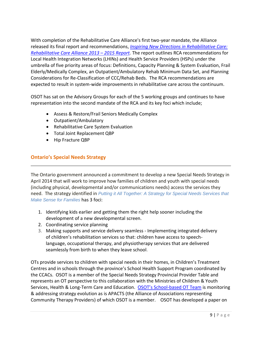With completion of the Rehabilitative Care Alliance's first two-year mandate, the Alliance released its final report and recommendations, *[Inspiring New Directions in Rehabilitative Care:](http://rehabcarealliance.ca/uploads/File/Final_Report_2013-15/RCA_Final_Report_2015__FINAL_.pdf)  [Rehabilitative Care Alliance](http://rehabcarealliance.ca/uploads/File/Final_Report_2013-15/RCA_Final_Report_2015__FINAL_.pdf) 2013 – 2015 Report.* The report outlines RCA recommendations for Local Health Integration Networks (LHINs) and Health Service Providers (HSPs) under the umbrella of five priority areas of focus: Definitions, Capacity Planning & System Evaluation, Frail Elderly/Medically Complex, an Outpatient/Ambulatory Rehab Minimum Data Set, and Planning Considerations for Re-Classification of CCC/Rehab Beds. The RCA recommendations are expected to result in system-wide improvements in rehabilitative care across the continuum.

OSOT has sat on the Advisory Groups for each of the 5 working groups and continues to have representation into the second mandate of the RCA and its key foci which include;

- Assess & Restore/Frail Seniors Medically Complex
- Outpatient/Ambulatory
- Rehabilitative Care System Evaluation
- Total Joint Replacement QBP
- Hip Fracture QBP

# **Ontario's Special Needs Strategy**

The Ontario government announced a commitment to develop a new Special Needs Strategy in April 2014 that will work to improve how families of children and youth with special needs (including physical, developmental and/or communications needs) access the services they need. The strategy identified in *Putting it All [Together:](http://www.children.gov.on.ca/htdocs/English/documents/topics/specialneeds/strategy/Webinar.pdf) A Strategy for Special Needs Services that Make Sense for [Families](http://www.children.gov.on.ca/htdocs/English/documents/topics/specialneeds/strategy/Webinar.pdf)* has 3 foci:

- 1. Identifying kids earlier and getting them the right help sooner including the development of a new developmental screen.
- 2. Coordinating service planning
- 3. Making supports and service delivery seamless Implementing integrated delivery of children's rehabilitation services so that: children have access to speechlanguage, occupational therapy, and physiotherapy services that are delivered seamlessly from birth to when they leave school.

OTs provide services to children with special needs in their homes, in Children's Treatment Centres and in schools through the province's School Health Support Program coordinated by the CCACs. OSOT is a member of the Special Needs Strategy Provincial Provider Table and represents an OT perspective to this collaboration with the Ministries of Children & Youth Services, Health & Long-Term Care and Education. OSOT's School[-based OT Team](http://www.osot.on.ca/imis15/OSOT/About/Teams___Representatives/OSOT/About_Pages/Committees_Teams.aspx?hkey=b67ce0f8-d3bd-4aa0-a353-3c1753f0aa38) is monitoring & addressing strategy evolution as is APACTS (the Alliance of Associations representing Community Therapy Providers) of which OSOT is a member. OSOT has developed a paper on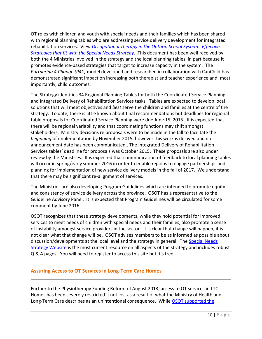OT roles with children and youth with special needs and their families which has been shared with regional planning tables who are addressing service delivery development for integrated rehabilitation services. View *[Occupational Therapy in the Ontario School System: Effective](http://www.osot.on.ca/iMIS15/OSOT/Advocacy_Pages/Official_Documents_of_2015_Members_Only.aspx)  [Strategies that fit with the Special Needs Strategy.](http://www.osot.on.ca/iMIS15/OSOT/Advocacy_Pages/Official_Documents_of_2015_Members_Only.aspx)* This document has been well received by both the 4 Ministries involved in the strategy and the local planning tables, in part because it promotes evidence-based strategies that target to increase capacity in the system. The *Partnering 4 Change (P4C)* model developed and researched in collaboration with CanChild has demonstrated significant impact on increasing both therapist and teacher experience and, most importantly, child outcomes.

The Strategy identifies 34 Regional Planning Tables for both the Coordinated Service Planning and Integrated Delivery of Rehabilitation Services tasks. Tables are expected to develop local solutions that will meet objectives and *best* serve the children and families at the centre of the strategy. To date, there is little known about final recommendations but deadlines for regional table proposals for Coordinated Service Planning were due June 15, 2015. It is expected that there will be regional variability and that coordinating functions may shift amongst stakeholders. Ministry decisions re proposals were to be made in the fall to facilitate the *beginning* of implementation by November 2015, however this work is delayed and no announcement date has been communicated.. The Integrated Delivery of Rehabilitation Services tables' deadline for proposals was October 2015. These proposals are also under review by the Ministries. It is expected that communication of feedback to local planning tables will occur in spring/early summer 2016 in order to enable regions to engage partnerships and planning for implementation of new service delivery models in the fall of 2017. We understand that there may be significant re-alignment of services.

The Ministries are also developing Program Guidelines which are intended to promote equity and consistency of service delivery across the province. OSOT has a representative to the Guideline Advisory Panel. It is expected that Program Guidelines will be circulated for some comment by June 2016.

OSOT recognizes that these strategy developments, while they hold potential for improved services to meet needs of children with special needs and their families, also promote a sense of instability amongst service providers in the sector. It is clear that change will happen, it is not clear what that change will be. OSOT advises members to be as informed as possible about discussion/developments at the local level and the strategy in general. The [Special Needs](http://specialneedsstrategy.children.gov.on.ca/)  [Strategy Website](http://specialneedsstrategy.children.gov.on.ca/) is the most current resource on all aspects of the strategy and includes robust Q & A pages. You will need to register to access this site but it's free.

#### **Assuring Access to OT Services in Long-Term Care Homes**

Further to the Physiotherapy Funding Reform of August 2013, access to OT services in LTC Homes has been severely restricted if not lost as a result of what the Ministry of Health and Long-Term Care describes as an unintentional consequence. While OSOT supported the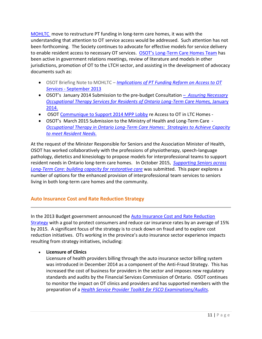[MOHLTC](http://www.osot.on.ca/imis15/CMDownload.aspx?ContentKey=bfc60b06-1646-43ce-9add-0d401c11e796&ContentItemKey=1d2c1677-99b4-4936-a9d3-c611dc8c1377) move to restructure PT funding in long-term care homes, it was with the understanding that attention to OT service access would be addressed. Such attention has not been forthcoming. The Society continues to advocate for effective models for service delivery to enable resident access to necessary OT services. OSOT's Long[-Term Care Homes Team](http://www.osot.on.ca/imis15/OSOT/About/Teams___Representatives/OSOT/About_Pages/Committees_Teams.aspx?hkey=b67ce0f8-d3bd-4aa0-a353-3c1753f0aa38) has been active in government relations meetings, review of literature and models in other jurisdictions, promotion of OT to the LTCH sector, and assisting in the development of advocacy documents such as:

- OSOT Briefing Note to MOHLTC *[Implications](http://www.osot.on.ca/imis15/CMDownload.aspx?ContentKey=bfc60b06-1646-43ce-9add-0d401c11e796&ContentItemKey=1d2c1677-99b4-4936-a9d3-c611dc8c1377) of PT Funding Reform on Access to OT Services* - [September](http://www.osot.on.ca/imis15/CMDownload.aspx?ContentKey=bfc60b06-1646-43ce-9add-0d401c11e796&ContentItemKey=1d2c1677-99b4-4936-a9d3-c611dc8c1377) 2013
- OSOT's January 2014 Submission to the pre-budget Consultation *[Assuring Necessary](http://www.osot.on.ca/imis15/CMDownload.aspx?ContentKey=5a013e4e-d687-4bed-88f9-09acf2e63d4a&ContentItemKey=02bdc8e8-7bcb-450c-a6d6-30ef53b88c94)  [Occupational Therapy Services for Residents of Ontario Long-Term Care Homes,](http://www.osot.on.ca/imis15/CMDownload.aspx?ContentKey=5a013e4e-d687-4bed-88f9-09acf2e63d4a&ContentItemKey=02bdc8e8-7bcb-450c-a6d6-30ef53b88c94)* January [2014.](http://www.osot.on.ca/imis15/CMDownload.aspx?ContentKey=5a013e4e-d687-4bed-88f9-09acf2e63d4a&ContentItemKey=02bdc8e8-7bcb-450c-a6d6-30ef53b88c94)
- OSOT [Communique to Support 2014 MPP Lobby](https://www.osot.on.ca/imis15/CMDownload.aspx?ContentKey=1a3a4aaa-4066-4975-be53-ad84d33f21cc&ContentItemKey=fd073ed5-0ceb-4b64-9be1-8371b9fd9e55) re Access to OT in LTC Homes -
- OSOT's March 2015 Submission to the Ministry of Health and Long-Term Care *[Occupational Therapy in Ontario Long-Term Care Homes: Strategies to Achieve Capacity](http://www.osot.on.ca/imis15/CMDownload.aspx?ContentKey=c7294dbd-fe33-48ad-bc77-48d6b7f5122f&ContentItemKey=7cdeb1f2-58c8-4b07-b076-c7f5c4b33043)  [to meet Resident Needs.](http://www.osot.on.ca/imis15/CMDownload.aspx?ContentKey=c7294dbd-fe33-48ad-bc77-48d6b7f5122f&ContentItemKey=7cdeb1f2-58c8-4b07-b076-c7f5c4b33043)*

At the request of the Minister Responsible for Seniors and the Association Minister of Health, OSOT has worked collaboratively with the professions of physiotherapy, speech-language pathology, dietetics and kinesiology to propose models for interprofessional teams to support resident needs in Ontario long-term care homes. In October 2015, *[Supporting Seniors across](http://www.osot.on.ca/imis15/CMDownload.aspx?ContentKey=b496a9a7-695b-42a5-9576-f4f0e54d3f2d&ContentItemKey=7d83e7a0-d8be-420d-9a08-c2ad45fcc870)  [Long-Term Care: building capacity for restorative care](http://www.osot.on.ca/imis15/CMDownload.aspx?ContentKey=b496a9a7-695b-42a5-9576-f4f0e54d3f2d&ContentItemKey=7d83e7a0-d8be-420d-9a08-c2ad45fcc870)* was submitted. This paper explores a number of options for the enhanced provision of interprofessional team services to seniors living in both long-term care homes and the community.

# **Auto Insurance Cost and Rate Reduction Strategy**

In the 2013 Budget government announced the **Auto Insurance Cost and Rate Reduction** [Strategy](http://news.ontario.ca/mof/en/2013/08/making-auto-insurance-more-affordable-for-ontario-drivers.html) with a goal to protect consumers and reduce car insurance rates by an average of 15% by 2015. A significant focus of the strategy is to crack down on fraud and to explore cost reduction initiatives. OTs working in the province's auto insurance sector experience impacts resulting from strategy initiatives, including:

# **Licensure of Clinics**

Licensure of health providers billing through the auto insurance sector billing system was introduced in December 2014 as a component of the Anti-Fraud Strategy. This has increased the cost of business for providers in the sector and imposes new regulatory standards and audits by the Financial Services Commission of Ontario. OSOT continues to monitor the impact on OT clinics and providers and has supported members with the preparation of a *[Health Service Provider Toolkit for FSCO Examinations/Audits.](http://www.osot.on.ca/imis15/CMDownload.aspx?ContentKey=c8234d38-73ad-4073-a774-b723d860099d&ContentItemKey=ff9fb94b-0102-4868-978c-614742b93f6f)*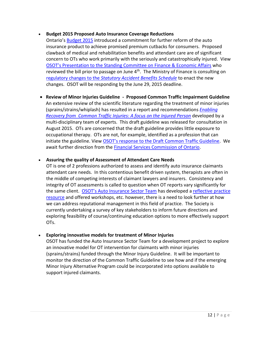#### **Budget 2015 Proposed Auto Insurance Coverage Reductions**

Ontario's [Budget 2015](http://www.fin.gov.on.ca/en/budget/ontariobudgets/2015/) introduced a commitment for further reform of the auto insurance product to achieve promised premium cutbacks for consumers. Proposed clawback of medical and rehabilitation benefits and attendant care are of significant concern to OTs who work primarily with the seriously and catastrophically injured. View OSOT's [Presentation to the Standing Committee on Finance & Economic Affairs](https://www.osot.on.ca/imis15/CMDownload.aspx?ContentKey=6fe23c1b-2d66-465e-9634-77b7a29225de&ContentItemKey=7f4d1e78-34b5-4c5b-bb17-abf9a68537de) who reviewed the bill prior to passage on June  $4<sup>th</sup>$ . The Ministry of Finance is consulting on regulatory changes to the *[Statutory Accident Benefits Schedule](http://www.osot.on.ca/imis15/TAGGED/News/Government_consults_on_Proposed_Changes_to_Auto_Insurance_Benefits.aspx)* to enact the new changes. OSOT will be responding by the June 29, 2015 deadline.

 **Review of Minor Injuries Guideline - Proposed Common Traffic Impairment Guideline** An extensive review of the scientific literature regarding the treatment of minor injuries (sprains/strains/whiplash) has resulted in a report and recommendations *[Enabling](https://www.fsco.gov.on.ca/en/auto/Documents/2015-cti.pdf)  [Recovery from Common Traffic Injuries: A focus on the Injured Person](https://www.fsco.gov.on.ca/en/auto/Documents/2015-cti.pdf)* developed by a multi-disciplinary team of experts. This draft guideline was released for consultation in August 2015. OTs are concerned that the draft guideline provides little exposure to occupational therapy. OTs are not, for example, identified as a profession that can initiate the guideline. View [OSOT's response to the Draft Common Traffic Guideline](http://www.osot.on.ca/imis15/CMDownload.aspx?ContentKey=50f414b4-689a-4551-baa8-c85d2c28e4d4&ContentItemKey=bc7b3871-9004-4d9c-a285-b1dc5474a051). We await further direction from the **Financial Services Commission of Ontario**.

#### **Assuring the quality of Assessment of Attendant Care Needs**

OT is one of 2 professions authorized to assess and identify auto insurance claimants attendant care needs. In this contentious benefit driven system, therapists are often in the middle of competing interests of claimant lawyers and insurers. Consistency and integrity of OT assessments is called to question when OT reports vary significantly for the same client. OSOT['s Auto Insurance Sector Team](http://www.osot.on.ca/imis15/OSOT/About/Teams___Representatives/OSOT/About_Pages/Committees_Teams.aspx?hkey=b67ce0f8-d3bd-4aa0-a353-3c1753f0aa38) has developed a [reflective practice](http://www.osot.on.ca/imis15/CMDownload.aspx?ContentKey=85978a1f-f945-48ae-9793-f669c095f747&ContentItemKey=1f4b513b-f610-4381-a16b-bae47f6374c1)  [resource](http://www.osot.on.ca/imis15/CMDownload.aspx?ContentKey=85978a1f-f945-48ae-9793-f669c095f747&ContentItemKey=1f4b513b-f610-4381-a16b-bae47f6374c1) and offered workshops, etc. however, there is a need to look further at how we can address reputational management in this field of practice. The Society is currently undertaking a survey of key stakeholders to inform future directions and exploring feasibility of course/continuing education options to more effectively support OTs.

#### **Exploring innovative models for treatment of Minor Injuries**

OSOT has funded the Auto Insurance Sector Team for a development project to explore an innovative model for OT intervention for claimants with minor injuries (sprains/strains) funded through the Minor Injury Guideline. It will be important to monitor the direction of the Common Traffic Guideline to see how and if the emerging Minor Injury Alternative Program could be incorporated into options available to support injured claimants.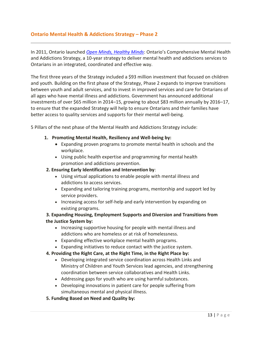# **Ontario Mental Health & Addictions Strategy – Phase 2**

In 2011, Ontario launched *[Open Minds, Healthy Minds](http://www.health.gov.on.ca/en/common/ministry/publications/reports/mental_health2011/mentalhealth_rep2011.pdf)*: Ontario's Comprehensive Mental Health and Addictions Strategy, a 10-year strategy to deliver mental health and addictions services to Ontarians in an integrated, coordinated and effective way.

The first three years of the Strategy included a \$93 million investment that focused on children and youth. Building on the first phase of the Strategy, Phase 2 expands to improve transitions between youth and adult services, and to invest in improved services and care for Ontarians of all ages who have mental illness and addictions. Government has announced additional investments of over \$65 million in 2014–15, growing to about \$83 million annually by 2016–17, to ensure that the expanded Strategy will help to ensure Ontarians and their families have better access to quality services and supports for their mental well-being.

5 Pillars of the next phase of the Mental Health and Addictions Strategy include:

- **1. Promoting Mental Health, Resiliency and Well-being by:** 
	- Expanding proven programs to promote mental health in schools and the workplace.
	- Using public health expertise and programming for mental health promotion and addictions prevention.

#### **2. Ensuring Early Identification and Intervention by**:

- Using virtual applications to enable people with mental illness and addictions to access services.
- Expanding and tailoring training programs, mentorship and support led by service providers.
- Increasing access for self-help and early intervention by expanding on existing programs.

#### **3. Expanding Housing, Employment Supports and Diversion and Transitions from the Justice System by:**

- Increasing supportive housing for people with mental illness and addictions who are homeless or at risk of homelessness.
- Expanding effective workplace mental health programs.
- Expanding initiatives to reduce contact with the justice system.

#### **4. Providing the Right Care, at the Right Time, in the Right Place by:**

- Developing integrated service coordination across Health Links and Ministry of Children and Youth Services lead agencies, and strengthening coordination between service collaboratives and Health Links.
- Addressing gaps for youth who are using harmful substances.
- Developing innovations in patient care for people suffering from simultaneous mental and physical illness.
- **5. Funding Based on Need and Quality by:**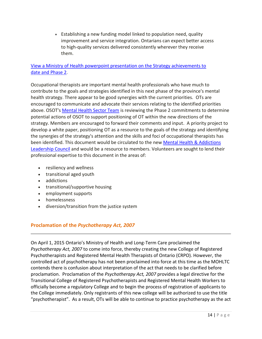Establishing a new funding model linked to population need, quality improvement and service integration. Ontarians can expect better access to high-quality services delivered consistently wherever they receive them.

### [View a Ministry of Health powerpoint presentation on the Strategy achievements to](http://www.osot.on.ca/imis15/CMDownload.aspx?ContentKey=639a5a0d-96e2-4cc4-8812-55780a29d10e&ContentItemKey=0e8ac09c-cbce-405c-8d3e-517fca6ff538)  [date and Phase 2.](http://www.osot.on.ca/imis15/CMDownload.aspx?ContentKey=639a5a0d-96e2-4cc4-8812-55780a29d10e&ContentItemKey=0e8ac09c-cbce-405c-8d3e-517fca6ff538)

Occupational therapists are important mental health professionals who have much to contribute to the goals and strategies identified in this next phase of the province's mental health strategy. There appear to be good synergies with the current priorities. OTs are encouraged to communicate and advocate their services relating to the identified priorities above. OSOT's [Mental Health Sector Team](http://www.osot.on.ca/imis15/OSOT/About/Teams___Representatives/OSOT/About_Pages/Committees_Teams.aspx?hkey=b67ce0f8-d3bd-4aa0-a353-3c1753f0aa38) is reviewing the Phase 2 commitments to determine potential actions of OSOT to support positioning of OT within the new directions of the strategy. Members are encouraged to forward their comments and input. A priority project to develop a white paper, positioning OT as a resource to the goals of the strategy and identifying the synergies of the strategy's attention and the skills and foci of occupational therapists has been identified. This document would be circulated to the new [Mental Health & Addictions](http://news.ontario.ca/mohltc/en/2014/11/mental-health-and-addictions-leadership-advisory-council.html)  [Leadership Council](http://news.ontario.ca/mohltc/en/2014/11/mental-health-and-addictions-leadership-advisory-council.html) and would be a resource to members. Volunteers are sought to lend their professional expertise to this document in the areas of:

- resiliency and wellness
- transitional aged youth
- addictions
- transitional/supportive housing
- employment supports
- homelessness
- diversion/transition from the justice system

# **Proclamation of the** *Psychotherapy Act, 2007*

On April 1, 2015 Ontario's Ministry of Health and Long-Term Care proclaimed the *Psychotherapy Act, 2007* to come into force, thereby creating the new College of Registered Psychotherapists and Registered Mental Health Therapists of Ontario (CRPO). However, the controlled act of psychotherapy has not been proclaimed into force at this time as the MOHLTC contends there is confusion about interpretation of the act that needs to be clarified before proclamation. Proclamation of the *Psychotherapy Act, 2007* provides a legal directive for the Transitional College of Registered Psychotherapists and Registered Mental Health Workers to officially become a regulatory College and to begin the process of registration of applicants to the College immediately. Only registrants of this new college will be authorized to use the title "psychotherapist". As a result, OTs will be able to continue to practice psychotherapy as the act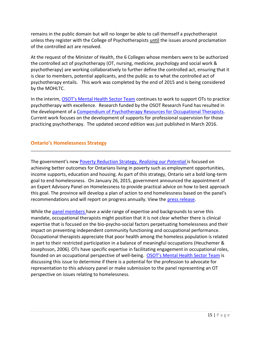remains in the public domain but will no longer be able to call themself a psychotherapist unless they register with the College of Psychotherapists until the issues around proclamation of the controlled act are resolved.

At the request of the Minister of Health, the 6 Colleges whose members were to be authorized the controlled act of psychotherapy (OT, nursing, medicine, psychology and social work & psychotherapy) are working collaboratively to further define the controlled act, ensuring that it is clear to members, potential applicants, and the public as to what the controlled act of psychotherapy entails. This work was completed by the end of 2015 and is being considered by the MOHLTC.

In the interim, [OSOT's Mental Health Sector Team](http://www.osot.on.ca/imis15/OSOT/About/Teams___Representatives/OSOT/About_Pages/Committees_Teams.aspx?hkey=b67ce0f8-d3bd-4aa0-a353-3c1753f0aa38) continues to work to support OTs to practice psychotherapy with excellence. Research funded by the OSOT Research Fund has resulted in the development of a [Compendium of Psychotherapy Resources for Occupational Therapists.](http://www.osot.on.ca/imis15/CMDownload.aspx?ContentKey=d31b84a9-fc28-401b-8c90-85f59e005a23&ContentItemKey=37d19f97-97cb-44ab-b892-06fd74862aaf) Current work focuses on the development of supports for professional supervision for those practicing psychotherapy. The updated second edition was just published in March 2016.

### **Ontario's Homelessness Strategy**

The government's new [Poverty Reduction Strategy,](https://dr6j45jk9xcmk.cloudfront.net/documents/3384/en-prs-bklt-aug-28th-approved-final-s.pdf) *Realizing our Potential* is focused on achieving better outcomes for Ontarians living in poverty such as employment opportunities, income supports, education and housing. As part of this strategy, Ontario set a bold long-term goal to end homelessness. On January 26, 2015, government announced the appointment of an Expert Advisory Panel on Homelessness to provide practical advice on how to best approach this goal. The province will develop a plan of action to end homelessness based on the panel's recommendations and will report on progress annually. View the [press release.](http://news.ontario.ca/mah/en/2015/01/ontario-appoints-panel-to-look-at-ending-long-term-homelessness.html)

While the [panel members h](http://news.ontario.ca/mah/en/2015/01/expert-advisory-panel-on-homelessness-members.html)ave a wide range of expertise and backgrounds to serve this mandate, occupational therapists might position that it is not clear whether there is clinical expertise that is focused on the bio-psycho-social factors perpetuating homelessness and their impact on preventing independent community functioning and occupational performance. Occupational therapists appreciate that poor health among the homeless population is related in part to their restricted participation in a balance of meaningful occupations (Heuchemer & Josephsson, 2006). OTs have specific expertise in facilitating engagement in occupational roles, founded on an occupational perspective of well-being. [OSOT's Mental Health Sector Team](http://www.osot.on.ca/imis15/OSOT/About/Teams___Representatives/OSOT/About_Pages/Committees_Teams.aspx?hkey=b67ce0f8-d3bd-4aa0-a353-3c1753f0aa38) is discussing this issue to determine if there is a potential for the profession to advocate for representation to this advisory panel or make submission to the panel representing an OT perspective on issues relating to homelessness.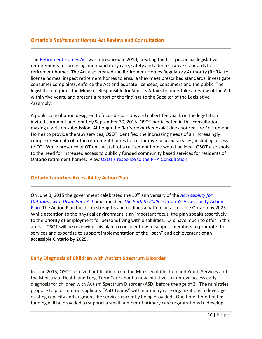#### **Ontario's** *Retirement Homes Act* **Review and Consultation**

The Retirement Homes Act was introduced in 2010, creating the first provincial legislative requirements for licensing and mandatory care, safety and administrative standards for retirement homes. The Act also created the Retirement Homes Regulatory Authority (RHRA) to license homes, inspect retirement homes to ensure they meet prescribed standards, investigate consumer complaints, enforce the Act and educate licensees, consumers and the public. The legislation requires the Minister Responsible for Seniors Affairs to undertake a review of the Act within five years, and present a report of the findings to the Speaker of the Legislative Assembly.

A public consultation designed to focus discussions and collect feedback on the legislation invited comment and input by September 30, 2015. OSOT participated in this consultation making a written submission. Although the *Retirement Homes Act* does not require Retirement Homes to provide therapy services, OSOT identified the increasing needs of an increasingly complex resident cohort in retirement homes for restorative focused services, including access to OT. While presence of OT on the staff of a retirement home would be ideal, OSOT also spoke to the need for increased access to publicly funded community based services for residents of Ontario retirement homes. View [OSOT's response to the RHA Consultation](https://www.osot.on.ca/imis15/CMDownload.aspx?ContentKey=0c4519ef-d9b7-4e68-97e2-09420260ab8d&ContentItemKey=d304441a-a7df-462e-b262-3ff381887618).

#### **Ontario Launches Accessibility Action Plan**

On June 3, 2015 the government celebrated the 10<sup>th</sup> anniversary of the *Accessibility for [Ontarians with Disabilities Act](http://www.aoda.ca/)* and launched *The Path to 2025:* [Ontario's Accessibility Action](http://www.ontario.ca/business-and-economy/path-2025-ontarios-accessibility-action-plan)  [Plan.](http://www.ontario.ca/business-and-economy/path-2025-ontarios-accessibility-action-plan) The Action Plan builds on strengths and outlines a path to an accessible Ontario by 2025. While attention to the physical environment is an important focus, the plan speaks assertively to the priority of employment for persons living with disabilities. OTs have much to offer in this arena. OSOT will be reviewing this plan to consider how to support members to promote their services and expertise to support implementation of the "path" and achievement of an accessible Ontario by 2025.

#### **Early Diagnosis of Children with Autism Spectrum Disorder**

In June 2015, OSOT received notification from the Ministry of Children and Youth Services and the Ministry of Health and Long-Term Care about a new initiative to improve access early diagnosis for children with Autism Spectrum Disorder (ASD) before the age of 3. The ministries propose to pilot multi-disciplinary "ASD Teams" within primary care organizations to leverage existing capacity and augment the services currently being provided. One time, time-limited funding will be provided to support a small number of primary care organizations to develop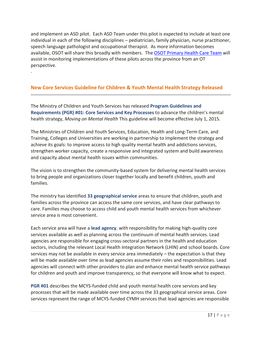and implement an ASD pilot. Each ASD Team under this pilot is expected to include at least one individual in each of the following disciplines – pediatrician, family physician, nurse practitioner, speech language pathologist and occupational therapist. As more information becomes available, OSOT will share this broadly with members. The [OSOT Primary Health](http://www.osot.on.ca/imis15/OSOT/About/Teams___Representatives/OSOT/About_Pages/Committees_Teams.aspx?hkey=b67ce0f8-d3bd-4aa0-a353-3c1753f0aa38) Care Team will assist in monitoring implementations of these pilots across the province from an OT perspective.

# **New Core Services Guideline for Children & Youth Mental Health Strategy Released**

.

The Ministry of Children and Youth Services has released **Program [Guidelines](http://www.children.gov.on.ca/htdocs/English/documents/topics/specialneeds/mentalhealth/pgr1.pdf) and [Requirements](http://www.children.gov.on.ca/htdocs/English/documents/topics/specialneeds/mentalhealth/pgr1.pdf) (PGR) #01: Core Services and Key Processes** to advance the children's mental health strategy, *[Moving](http://www.children.gov.on.ca/htdocs/English/topics/specialneeds/mentalhealth/momh.aspx) on Mental Health* This guideline will become effective July 1, 2015.

The Ministries of Children and Youth Services, Education, Health and Long-Term Care, and Training, Colleges and Universities are working in partnership to implement the strategy and achieve its goals: to improve access to high quality mental health and addictions services, strengthen worker capacity, create a responsive and integrated system and build awareness and capacity about mental health issues within communities.

The vision is to strengthen the community-based system for delivering mental health services to bring people and organizations closer together locally and benefit children, youth and families.

The ministry has identified **33 [geographical](http://www.children.gov.on.ca/htdocs/English/topics/specialneeds/mentalhealth/serviceareas.aspx) service** areas to ensure that children, youth and families across the province can access the same core services, and have clear pathways to care. Families may choose to access child and youth mental health services from whichever service area is most convenient.

Each service area will have a **lead [agency](http://www.children.gov.on.ca/htdocs/English/topics/specialneeds/mentalhealth/moving-on-mental-health.aspx)**, with responsibility for making high-quality core services available as well as planning across the continuum of mental health services. Lead agencies are responsible for engaging cross-sectoral partners in the health and education sectors, including the relevant Local Health Integration Network (LHIN) and school boards. Core services may not be available in every service area immediately – the expectation is that they will be made available over time as lead agencies assume their roles and responsibilities. Lead agencies will connect with other providers to plan and enhance mental health service pathways for children and youth and improve transparency, so that everyone will know what to expect.

**[PGR](http://www.children.gov.on.ca/htdocs/English/documents/topics/specialneeds/mentalhealth/pgr1.pdf) #01** describes the MCYS-funded child and youth mental health core services and key processes that will be made available over time across the 33 geographical service areas. Core services represent the range of MCYS-funded CYMH services that lead agencies are responsible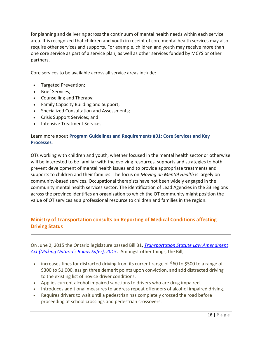for planning and delivering across the continuum of mental health needs within each service area. It is recognized that children and youth in receipt of core mental health services may also require other services and supports. For example, children and youth may receive more than one core service as part of a service plan, as well as other services funded by MCYS or other partners.

Core services to be available across all service areas include:

- Targeted Prevention;
- Brief Services;
- Counselling and Therapy;
- Family Capacity Building and Support;
- Specialized Consultation and Assessments;
- Crisis Support Services; and
- **.** Intensive Treatment Services.

### Learn more about **Program Guidelines and [Requirements](http://www.children.gov.on.ca/htdocs/English/topics/specialneeds/mentalhealth/pgr.aspx) #01: Core Services and Key [Processes](http://www.children.gov.on.ca/htdocs/English/topics/specialneeds/mentalhealth/pgr.aspx)**.

OTs working with children and youth, whether focused in the mental health sector or otherwise will be interested to be familiar with the evolving resources, supports and strategies to both prevent development of mental health issues and to provide appropriate treatments and supports to children and their families. The focus on *Moving on Mental Health* is largely on community-based services. Occupational therapists have not been widely engaged in the community mental health services sector. The identification of Lead Agencies in the 33 regions across the province identifies an organization to which the OT community might position the value of OT services as a professional resource to children and families in the region.

# **Ministry of Transportation consults on Reporting of Medical Conditions affecting Driving Status**

On June 2, 2015 the Ontario legislature passed Bill 31, *[Transportation Statute Law Amendment](http://www.ontla.on.ca/web/bills/bills_detail.do?BillID=3057)  A[ct \(Making Ontario's Roads Safer\), 2015](http://www.ontla.on.ca/web/bills/bills_detail.do?BillID=3057)*. Amongst other things, the Bill,

- increases fines for distracted driving from its current range of \$60 to \$500 to a range of \$300 to \$1,000, assign three demerit points upon conviction, and add distracted driving to the existing list of novice driver conditions.
- Applies current alcohol impaired sanctions to drivers who are drug impaired.
- Introduces additional measures to address repeat offenders of alcohol impaired driving.
- Requires drivers to wait until a pedestrian has completely crossed the road before proceeding at school crossings and pedestrian crossovers.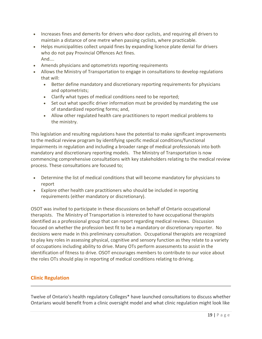- Increases fines and demerits for drivers who door cyclists, and requiring all drivers to maintain a distance of one metre when passing cyclists, where practicable.
- Helps municipalities collect unpaid fines by expanding licence plate denial for drivers who do not pay Provincial Offences Act fines. And….
- Amends physicians and optometrists reporting requirements
- Allows the Ministry of Transportation to engage in consultations to develop regulations that will:
	- Better define mandatory and discretionary reporting requirements for physicians and optometrists;
	- Clarify what types of medical conditions need to be reported;
	- Set out what specific driver information must be provided by mandating the use of standardized reporting forms; and,
	- Allow other regulated health care practitioners to report medical problems to the ministry.

This legislation and resulting regulations have the potential to make significant improvements to the medical review program by identifying specific medical conditions/functional impairments in regulation and including a broader range of medical professionals into both mandatory and discretionary reporting models. The Ministry of Transportation is now commencing comprehensive consultations with key stakeholders relating to the medical review process. These consultations are focused to;

- Determine the list of medical conditions that will become mandatory for physicians to report
- Explore other health care practitioners who should be included in reporting requirements (either mandatory or discretionary).

OSOT was invited to participate in these discussions on behalf of Ontario occupational therapists. The Ministry of Transportation is interested to have occupational therapists identified as a professional group that can report regarding medical reviews. Discussion focused on whether the profession best fit to be a mandatory or discretionary reporter. No decisions were made in this preliminary consultation. Occupational therapists are recognized to play key roles in assessing physical, cognitive and sensory function as they relate to a variety of occupations including ability to drive. Many OTs perform assessments to assist in the identification of fitness to drive. OSOT encourages members to contribute to our voice about the roles OTs should play in reporting of medical conditions relating to driving.

# **Clinic Regulation**

Twelve of Ontario's health regulatory Colleges\* have launched consultations to discuss whether Ontarians would benefit from a clinic oversight model and what clinic regulation might look like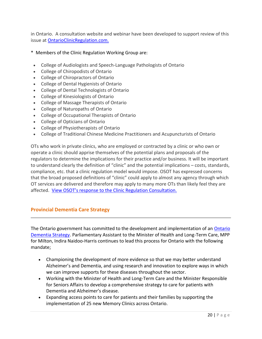in Ontario. A consultation website and webinar have been developed to support review of this issue at [OntarioClinicRegulation.com.](http://www.ontarioclinicregulation.com/)

- \* Members of the Clinic Regulation Working Group are:
- College of Audiologists and Speech-Language Pathologists of Ontario
- College of Chiropodists of Ontario
- College of Chiropractors of Ontario
- College of Dental Hygienists of Ontario
- College of Dental Technologists of Ontario
- College of Kinesiologists of Ontario
- College of Massage Therapists of Ontario
- College of Naturopaths of Ontario
- College of Occupational Therapists of Ontario
- College of Opticians of Ontario
- College of Physiotherapists of Ontario
- College of Traditional Chinese Medicine Practitioners and Acupuncturists of Ontario

OTs who work in private clinics, who are employed or contracted by a clinic or who own or operate a clinic should apprise themselves of the potential plans and proposals of the regulators to determine the implications for their practice and/or business. It will be important to understand clearly the definition of "clinic" and the potential implications – costs, standards, compliance, etc. that a clinic regulation model would impose. OSOT has expressed concerns that the broad proposed definitions of "clinic" could apply to almost any agency through which OT services are delivered and therefore may apply to many more OTs than likely feel they are affected. View OSOT's respon[se to the Clinic Regulation Consultation.](http://www.osot.on.ca/imis15/CMDownload.aspx?ContentKey=3e544d7a-6406-46e4-a398-6cbad81e58ad&ContentItemKey=e081a51d-0fe7-4d2a-8a14-fa43bf128376)

# **Provincial Dementia Care Strategy**

The Ontario government has committed to the development and implementation of an [Ontario](http://www.health.gov.on.ca/en/common/ministry/publications/reports/alz/summary.aspx)  [Dementia Strategy.](http://www.health.gov.on.ca/en/common/ministry/publications/reports/alz/summary.aspx) Parliamentary Assistant to the Minister of Health and Long-Term Care, MPP for Milton, Indira Naidoo-Harris continues to lead this process for Ontario with the following mandate;

- Championing the development of more evidence so that we may better understand Alzheimer's and Dementia, and using research and innovation to explore ways in which we can improve supports for these diseases throughout the sector.
- Working with the Minister of Health and Long-Term Care and the Minister Responsible for Seniors Affairs to develop a comprehensive strategy to care for patients with Dementia and Alzheimer's disease.
- Expanding access points to care for patients and their families by supporting the implementation of 25 new Memory Clinics across Ontario.